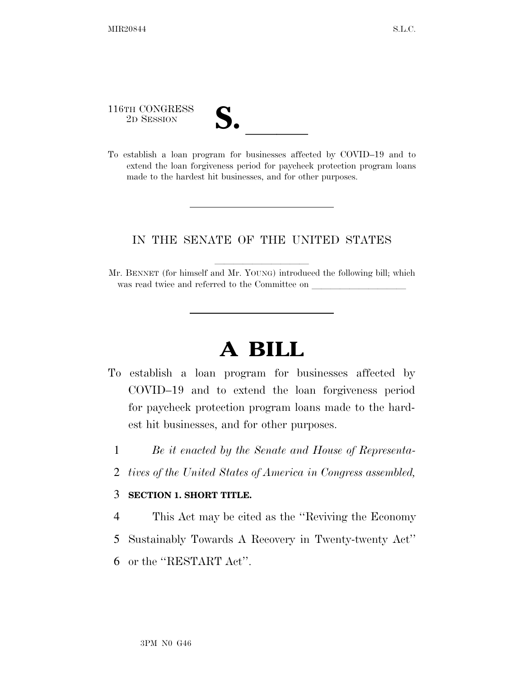116TH CONGRESS

| T<br>$\overline{\mathsf{v}}$ |  |
|------------------------------|--|
|                              |  |
|                              |  |

116TH CONGRESS<br>
2D SESSION<br>
To establish a loan program for businesses affected by COVID–19 and to extend the loan forgiveness period for paycheck protection program loans made to the hardest hit businesses, and for other purposes.

## IN THE SENATE OF THE UNITED STATES

Mr. BENNET (for himself and Mr. YOUNG) introduced the following bill; which was read twice and referred to the Committee on

## **A BILL**

- To establish a loan program for businesses affected by COVID–19 and to extend the loan forgiveness period for paycheck protection program loans made to the hardest hit businesses, and for other purposes.
	- 1 *Be it enacted by the Senate and House of Representa-*
	- 2 *tives of the United States of America in Congress assembled,*

## 3 **SECTION 1. SHORT TITLE.**

- 4 This Act may be cited as the ''Reviving the Economy
- 5 Sustainably Towards A Recovery in Twenty-twenty Act''
- 6 or the ''RESTART Act''.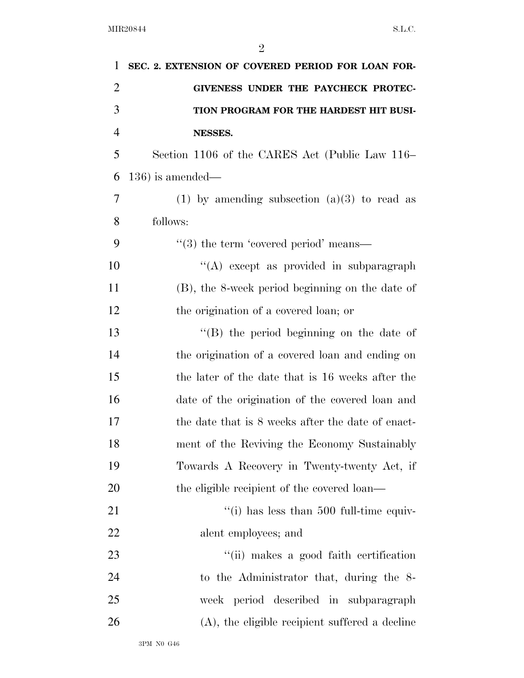| 1              | SEC. 2. EXTENSION OF COVERED PERIOD FOR LOAN FOR- |
|----------------|---------------------------------------------------|
| $\overline{2}$ | GIVENESS UNDER THE PAYCHECK PROTEC-               |
| 3              | TION PROGRAM FOR THE HARDEST HIT BUSI-            |
| $\overline{4}$ | NESSES.                                           |
| 5              | Section 1106 of the CARES Act (Public Law 116–    |
| 6              | $136$ ) is amended—                               |
| 7              | (1) by amending subsection $(a)(3)$ to read as    |
| 8              | follows:                                          |
| 9              | $\cdot\cdot$ (3) the term 'covered period' means— |
| 10             | "(A) except as provided in subparagraph           |
| 11             | (B), the 8-week period beginning on the date of   |
| 12             | the origination of a covered loan; or             |
| 13             | $\lq\lq$ the period beginning on the date of      |
| 14             | the origination of a covered loan and ending on   |
| 15             | the later of the date that is 16 weeks after the  |
| 16             | date of the origination of the covered loan and   |
| 17             | the date that is 8 weeks after the date of enact- |
| 18             | ment of the Reviving the Economy Sustainably      |
| 19             | Towards A Recovery in Twenty-twenty Act, if       |
| 20             | the eligible recipient of the covered loan—       |
| 21             | "(i) has less than $500$ full-time equiv-         |
| 22             | alent employees; and                              |
| 23             | "(ii) makes a good faith certification            |
| 24             | to the Administrator that, during the 8-          |
| 25             | week period described in subparagraph             |
| 26             | $(A)$ , the eligible recipient suffered a decline |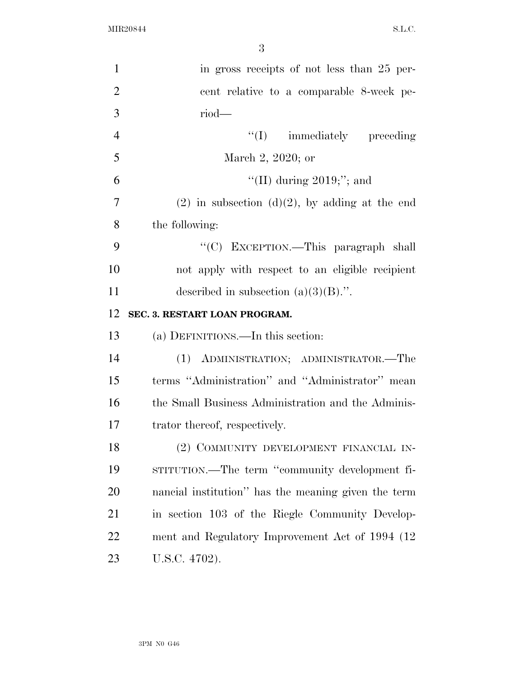| 1              | in gross receipts of not less than 25 per-          |
|----------------|-----------------------------------------------------|
| $\overline{2}$ | cent relative to a comparable 8-week pe-            |
| 3              | $riod$ —                                            |
| $\overline{4}$ | "(I) immediately preceding                          |
| 5              | March 2, 2020; or                                   |
| 6              | "(II) during $2019$ ;"; and                         |
| $\overline{7}$ | $(2)$ in subsection $(d)(2)$ , by adding at the end |
| 8              | the following:                                      |
| 9              | "(C) EXCEPTION.—This paragraph shall                |
| 10             | not apply with respect to an eligible recipient     |
| 11             | described in subsection $(a)(3)(B)$ .".             |
| 12             | SEC. 3. RESTART LOAN PROGRAM.                       |
| 13             | (a) DEFINITIONS.—In this section:                   |
| 14             | (1) ADMINISTRATION; ADMINISTRATOR.—The              |
| 15             | terms "Administration" and "Administrator" mean     |
| 16             | the Small Business Administration and the Adminis-  |
| 17             | trator thereof, respectively.                       |
| 18             | (2) COMMUNITY DEVELOPMENT FINANCIAL IN-             |
| 19             | STITUTION.—The term "community development fi-      |
| <b>20</b>      | nancial institution" has the meaning given the term |
| 21             | in section 103 of the Riegle Community Develop-     |
| 22             | ment and Regulatory Improvement Act of 1994 (12)    |
| 23             | U.S.C. 4702).                                       |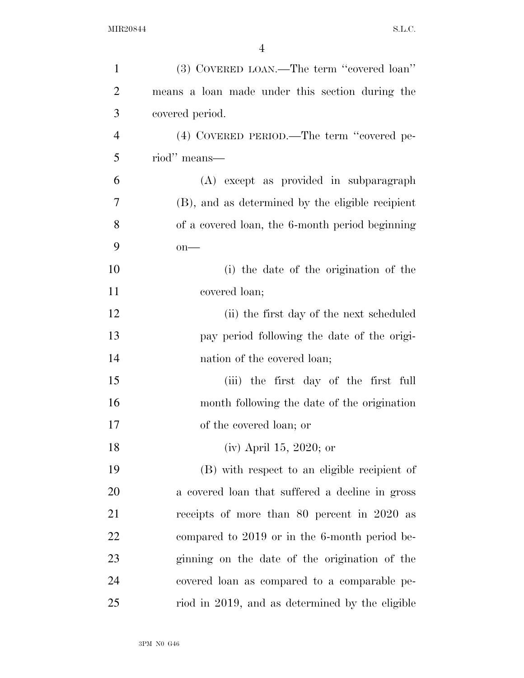| $\mathbf{1}$   | (3) COVERED LOAN.—The term "covered loan"        |
|----------------|--------------------------------------------------|
| $\overline{2}$ | means a loan made under this section during the  |
| 3              | covered period.                                  |
| $\overline{4}$ | (4) COVERED PERIOD.—The term "covered pe-        |
| 5              | riod" means—                                     |
| 6              | (A) except as provided in subparagraph           |
| 7              | (B), and as determined by the eligible recipient |
| 8              | of a covered loan, the 6-month period beginning  |
| 9              | $on$ —                                           |
| 10             | (i) the date of the origination of the           |
| 11             | covered loan;                                    |
| 12             | (ii) the first day of the next scheduled         |
| 13             | pay period following the date of the origi-      |
| 14             | nation of the covered loan;                      |
| 15             | (iii) the first day of the first full            |
| 16             | month following the date of the origination      |
| 17             | of the covered loan; or                          |
| 18             | (iv) April 15, 2020; or                          |
| 19             | (B) with respect to an eligible recipient of     |
| 20             | a covered loan that suffered a decline in gross  |
| 21             | receipts of more than 80 percent in 2020 as      |
| 22             | compared to 2019 or in the 6-month period be-    |
| 23             | ginning on the date of the origination of the    |
| 24             | covered loan as compared to a comparable pe-     |
| 25             | riod in 2019, and as determined by the eligible  |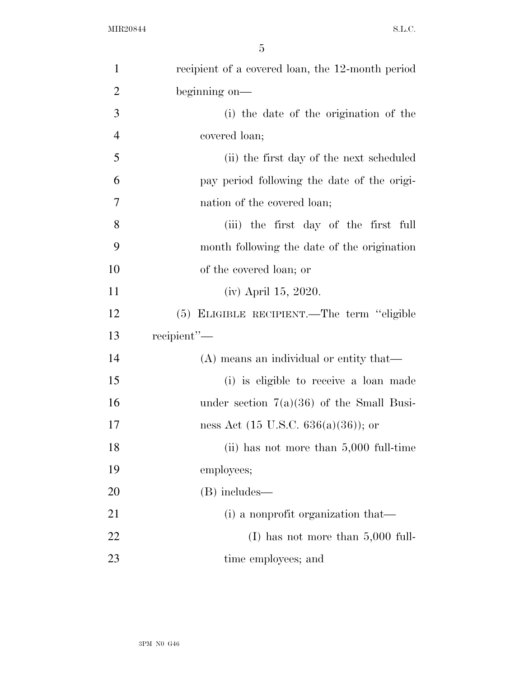| $\mathbf{1}$   | recipient of a covered loan, the 12-month period |
|----------------|--------------------------------------------------|
| $\overline{2}$ | beginning on-                                    |
| 3              | (i) the date of the origination of the           |
| $\overline{4}$ | covered loan;                                    |
| 5              | (ii) the first day of the next scheduled         |
| 6              | pay period following the date of the origi-      |
| $\overline{7}$ | nation of the covered loan;                      |
| 8              | (iii) the first day of the first full            |
| 9              | month following the date of the origination      |
| 10             | of the covered loan; or                          |
| 11             | (iv) April 15, 2020.                             |
| 12             | (5) ELIGIBLE RECIPIENT.—The term "eligible       |
| 13             | recipient"-                                      |
| 14             | (A) means an individual or entity that—          |
| 15             | (i) is eligible to receive a loan made           |
| 16             | under section $7(a)(36)$ of the Small Busi-      |
| 17             | ness Act $(15 \text{ U.S.C. } 636(a)(36))$ ; or  |
| 18             | (ii) has not more than $5,000$ full-time         |
| 19             | employees;                                       |
| 20             | (B) includes—                                    |
| 21             | (i) a nonprofit organization that—               |
| 22             | (I) has not more than $5,000$ full-              |
| 23             | time employees; and                              |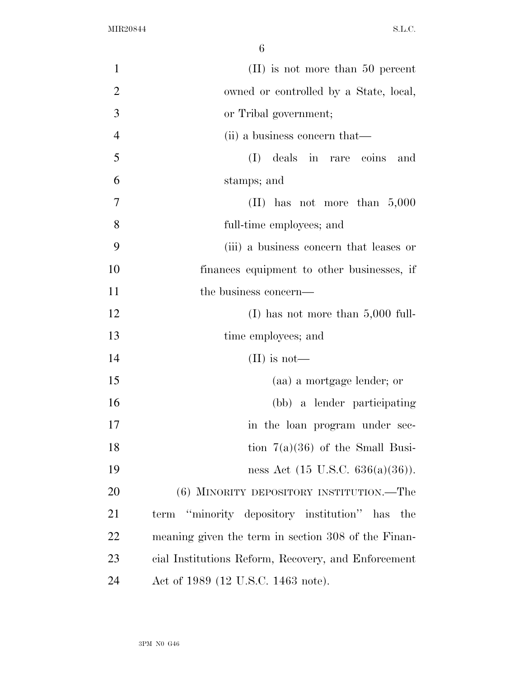| $\mathbf{1}$   | $(II)$ is not more than 50 percent                  |
|----------------|-----------------------------------------------------|
| $\overline{2}$ | owned or controlled by a State, local,              |
| 3              | or Tribal government;                               |
| $\overline{4}$ | (ii) a business concern that—                       |
| 5              | (I) deals in rare coins and                         |
| 6              | stamps; and                                         |
| 7              | (II) has not more than $5,000$                      |
| 8              | full-time employees; and                            |
| 9              | (iii) a business concern that leases or             |
| 10             | finances equipment to other businesses, if          |
| 11             | the business concern—                               |
| 12             | (I) has not more than $5,000$ full-                 |
| 13             | time employees; and                                 |
| 14             | $(II)$ is not—                                      |
| 15             | (aa) a mortgage lender; or                          |
| 16             | (bb) a lender participating                         |
| 17             | in the loan program under sec-                      |
| 18             | tion $7(a)(36)$ of the Small Busi-                  |
| 19             | ness Act $(15 \text{ U.S.C. } 636(a)(36))$ .        |
| 20             | (6) MINORITY DEPOSITORY INSTITUTION.—The            |
| 21             | "minority depository institution" has the<br>term   |
| 22             | meaning given the term in section 308 of the Finan- |
| 23             | cial Institutions Reform, Recovery, and Enforcement |
| 24             | Act of 1989 (12 U.S.C. 1463 note).                  |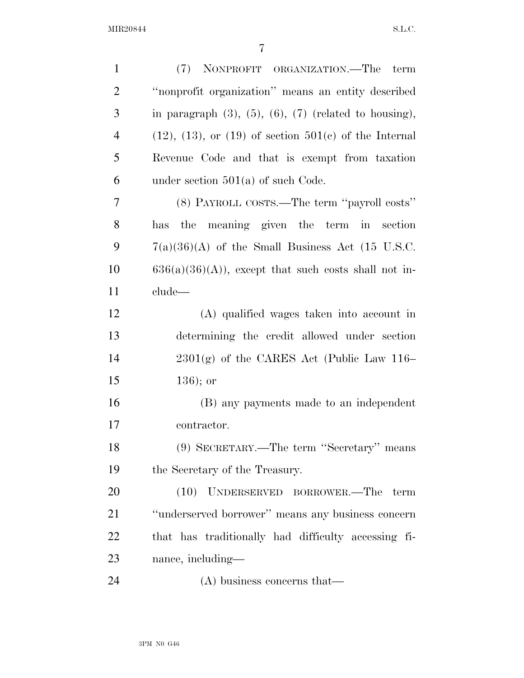| $\mathbf{1}$   | (7) NONPROFIT ORGANIZATION.—The term                             |
|----------------|------------------------------------------------------------------|
| $\overline{2}$ | "nonprofit organization" means an entity described               |
| 3              | in paragraph $(3)$ , $(5)$ , $(6)$ , $(7)$ (related to housing), |
| $\overline{4}$ | $(12)$ , $(13)$ , or $(19)$ of section $501(c)$ of the Internal  |
| 5              | Revenue Code and that is exempt from taxation                    |
| 6              | under section $501(a)$ of such Code.                             |
| 7              | (8) PAYROLL COSTS.—The term "payroll costs"                      |
| 8              | the meaning given the term in section<br>has                     |
| 9              | $7(a)(36)(A)$ of the Small Business Act (15 U.S.C.               |
| 10             | $636(a)(36)(A)$ , except that such costs shall not in-           |
| 11             | clude—                                                           |
| 12             | (A) qualified wages taken into account in                        |
| 13             | determining the credit allowed under section                     |
| 14             | $2301(g)$ of the CARES Act (Public Law 116–                      |
| 15             | $136$ ; or                                                       |
| 16             | (B) any payments made to an independent                          |
| 17             | contractor.                                                      |
| 18             | (9) SECRETARY.—The term "Secretary" means                        |
| 19             | the Secretary of the Treasury.                                   |
| 20             | (10) UNDERSERVED BORROWER.—The term                              |
| 21             | "underserved borrower" means any business concern                |
| 22             | that has traditionally had difficulty accessing fi-              |
| 23             | nance, including—                                                |
| 24             | $(A)$ business concerns that—                                    |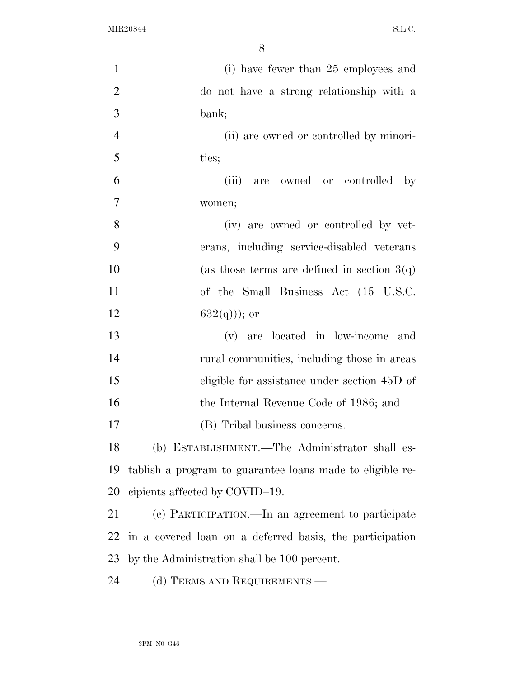| $\mathbf{1}$   | (i) have fewer than 25 employees and                      |
|----------------|-----------------------------------------------------------|
| $\overline{2}$ | do not have a strong relationship with a                  |
| 3              | bank;                                                     |
| $\overline{4}$ | (ii) are owned or controlled by minori-                   |
| 5              | ties;                                                     |
| 6              | (iii)<br>are owned or controlled<br>$-$ by                |
| 7              | women;                                                    |
| 8              | (iv) are owned or controlled by vet-                      |
| 9              | erans, including service-disabled veterans                |
| 10             | (as those terms are defined in section $3(q)$ )           |
| 11             | of the Small Business Act (15 U.S.C.                      |
| 12             | $632(q))$ ; or                                            |
| 13             | (v) are located in low-income and                         |
| 14             | rural communities, including those in areas               |
| 15             | eligible for assistance under section 45D of              |
| 16             | the Internal Revenue Code of 1986; and                    |
| 17             | (B) Tribal business concerns.                             |
| 18             | (b) ESTABLISHMENT.—The Administrator shall es-            |
| 19             | tablish a program to guarantee loans made to eligible re- |
| 20             | cipients affected by COVID-19.                            |
| 21             | (c) PARTICIPATION.—In an agreement to participate         |
| 22             | in a covered loan on a deferred basis, the participation  |
| 23             | by the Administration shall be 100 percent.               |
| 24             | (d) TERMS AND REQUIREMENTS.—                              |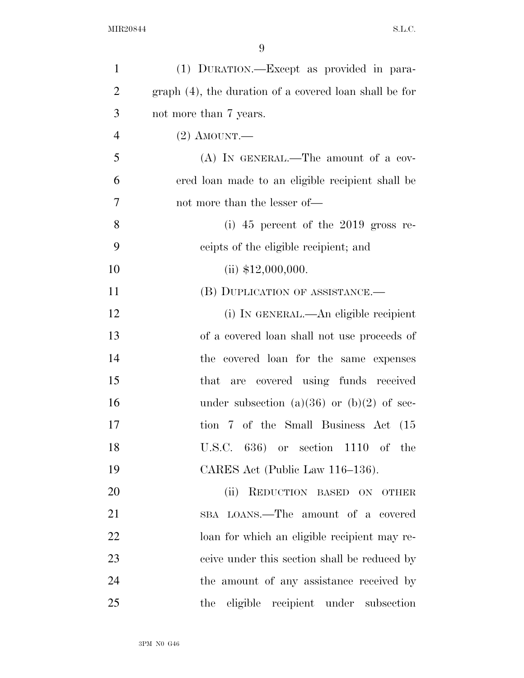| $\mathbf{1}$   | (1) DURATION.—Except as provided in para-              |
|----------------|--------------------------------------------------------|
| $\overline{2}$ | graph (4), the duration of a covered loan shall be for |
| 3              | not more than 7 years.                                 |
| $\overline{4}$ | $(2)$ AMOUNT.—                                         |
| 5              | $(A)$ IN GENERAL.—The amount of a cov-                 |
| 6              | ered loan made to an eligible recipient shall be       |
| 7              | not more than the lesser of—                           |
| 8              | (i) $45$ percent of the $2019$ gross re-               |
| 9              | ceipts of the eligible recipient; and                  |
| 10             | (ii) $$12,000,000$ .                                   |
| 11             | (B) DUPLICATION OF ASSISTANCE.-                        |
| 12             | (i) IN GENERAL.—An eligible recipient                  |
| 13             | of a covered loan shall not use proceeds of            |
| 14             | the covered loan for the same expenses                 |
| 15             | that are covered using funds received                  |
| 16             | under subsection (a)(36) or (b)(2) of sec-             |
| 17             | tion 7 of the Small Business Act (15                   |
| 18             | U.S.C. $636$ or section $1110$ of the                  |
| 19             | CARES Act (Public Law 116–136).                        |
| 20             | REDUCTION BASED ON OTHER<br>(ii)                       |
| 21             | SBA LOANS.—The amount of a covered                     |
| 22             | loan for which an eligible recipient may re-           |
| 23             | ceive under this section shall be reduced by           |
| 24             | the amount of any assistance received by               |
| 25             | the eligible recipient under subsection                |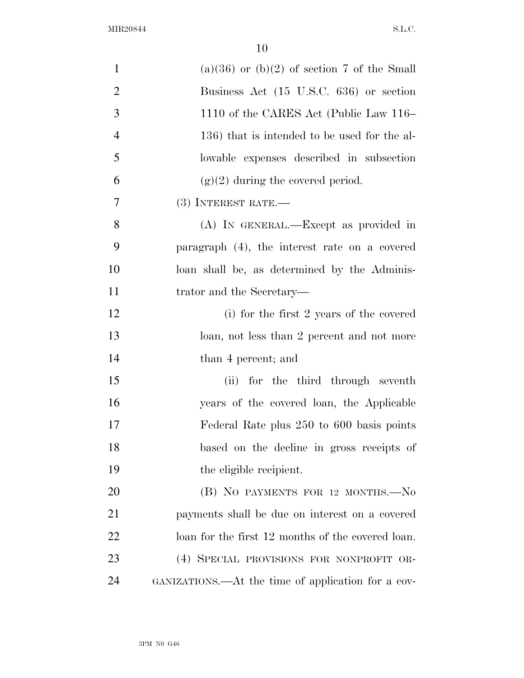| $\mathbf{1}$   | $(a)(36)$ or $(b)(2)$ of section 7 of the Small    |
|----------------|----------------------------------------------------|
| $\overline{2}$ | Business Act (15 U.S.C. 636) or section            |
| 3              | 1110 of the CARES Act (Public Law 116–             |
| $\overline{4}$ | 136) that is intended to be used for the al-       |
| 5              | lowable expenses described in subsection           |
| 6              | $(g)(2)$ during the covered period.                |
| $\overline{7}$ | $(3)$ INTEREST RATE.—                              |
| 8              | (A) IN GENERAL.—Except as provided in              |
| 9              | paragraph (4), the interest rate on a covered      |
| 10             | loan shall be, as determined by the Adminis-       |
| 11             | trator and the Secretary—                          |
| 12             | (i) for the first 2 years of the covered           |
| 13             | loan, not less than 2 percent and not more         |
| 14             | than 4 percent; and                                |
| 15             | (ii) for the third through seventh                 |
| 16             | years of the covered loan, the Applicable          |
| 17             | Federal Rate plus 250 to 600 basis points          |
| 18             | based on the decline in gross receipts of          |
| 19             | the eligible recipient.                            |
| 20             | (B) NO PAYMENTS FOR 12 MONTHS.-No                  |
| 21             | payments shall be due on interest on a covered     |
| 22             | loan for the first 12 months of the covered loan.  |
| 23             | (4) SPECIAL PROVISIONS FOR NONPROFIT OR-           |
| 24             | GANIZATIONS.—At the time of application for a cov- |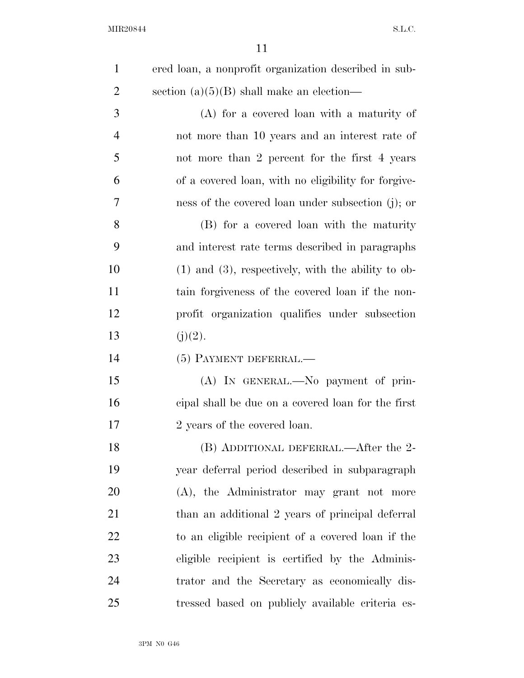| $\mathbf{1}$   | ered loan, a nonprofit organization described in sub-   |
|----------------|---------------------------------------------------------|
| $\overline{2}$ | section $(a)(5)(B)$ shall make an election—             |
| 3              | $(A)$ for a covered loan with a maturity of             |
| $\overline{4}$ | not more than 10 years and an interest rate of          |
| 5              | not more than 2 percent for the first 4 years           |
| 6              | of a covered loan, with no eligibility for forgive-     |
| 7              | ness of the covered loan under subsection (j); or       |
| 8              | (B) for a covered loan with the maturity                |
| 9              | and interest rate terms described in paragraphs         |
| 10             | $(1)$ and $(3)$ , respectively, with the ability to ob- |
| 11             | tain forgiveness of the covered loan if the non-        |
| 12             | profit organization qualifies under subsection          |
| 13             | (j)(2).                                                 |
| 14             | (5) PAYMENT DEFERRAL.—                                  |
| 15             | (A) IN GENERAL.—No payment of prin-                     |
| 16             | eipal shall be due on a covered loan for the first      |
| 17             | 2 years of the covered loan.                            |
| 18             | (B) ADDITIONAL DEFERRAL.—After the 2-                   |
| 19             | year deferral period described in subparagraph          |
| 20             | (A), the Administrator may grant not more               |
| 21             | than an additional 2 years of principal deferral        |
| 22             | to an eligible recipient of a covered loan if the       |
| 23             | eligible recipient is certified by the Adminis-         |
| 24             | trator and the Secretary as economically dis-           |
| 25             | tressed based on publicly available criteria es-        |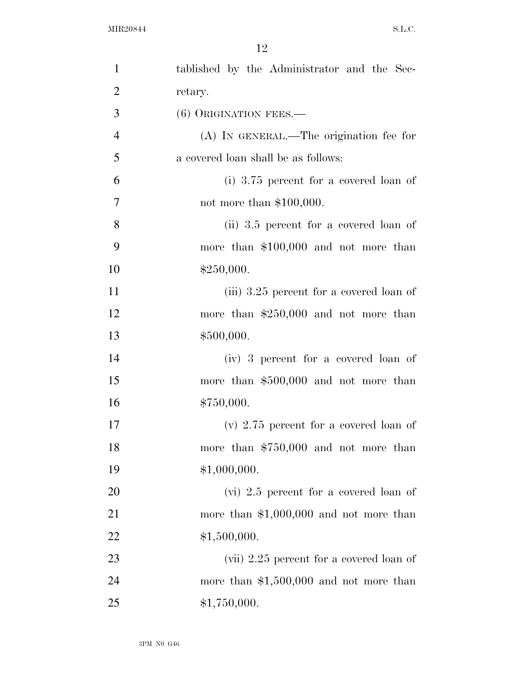| $\mathbf{1}$   | tablished by the Administrator and the Sec- |
|----------------|---------------------------------------------|
| $\overline{2}$ | retary.                                     |
| 3              | (6) ORIGINATION FEES.—                      |
| $\overline{4}$ | (A) IN GENERAL.—The origination fee for     |
| 5              | a covered loan shall be as follows:         |
| 6              | (i) $3.75$ percent for a covered loan of    |
| $\overline{7}$ | not more than $$100,000$ .                  |
| 8              | (ii) 3.5 percent for a covered loan of      |
| 9              | more than $$100,000$ and not more than      |
| 10             | \$250,000.                                  |
| 11             | (iii) 3.25 percent for a covered loan of    |
| 12             | more than $$250,000$ and not more than      |
| 13             | \$500,000.                                  |
| 14             | (iv) 3 percent for a covered loan of        |
| 15             | more than $$500,000$ and not more than      |
| 16             | \$750,000.                                  |
| 17             | $(v)$ 2.75 percent for a covered loan of    |
| 18             | more than $$750,000$ and not more than      |
| 19             | \$1,000,000.                                |
| 20             | $(vi)$ 2.5 percent for a covered loan of    |
| 21             | more than $$1,000,000$ and not more than    |
| 22             | \$1,500,000.                                |
| 23             | (vii) $2.25$ percent for a covered loan of  |
| 24             | more than $$1,500,000$ and not more than    |
| 25             | \$1,750,000.                                |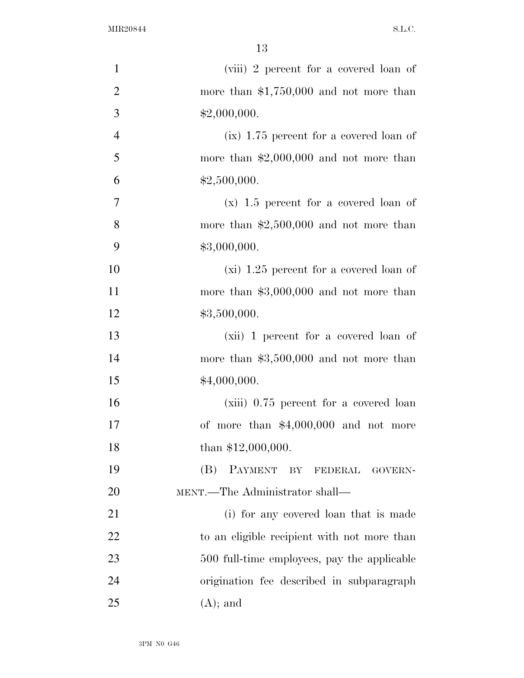| $\mathbf{1}$   | (viii) 2 percent for a covered loan of      |
|----------------|---------------------------------------------|
| $\overline{2}$ | more than $$1,750,000$ and not more than    |
| 3              | \$2,000,000.                                |
| $\overline{4}$ | $(ix)$ 1.75 percent for a covered loan of   |
| 5              | more than $$2,000,000$ and not more than    |
| 6              | \$2,500,000.                                |
| $\overline{7}$ | $(x)$ 1.5 percent for a covered loan of     |
| 8              | more than $$2,500,000$ and not more than    |
| 9              | \$3,000,000.                                |
| 10             | $(xi)$ 1.25 percent for a covered loan of   |
| 11             | more than $$3,000,000$ and not more than    |
| 12             | \$3,500,000.                                |
| 13             | (xii) 1 percent for a covered loan of       |
| 14             | more than $$3,500,000$ and not more than    |
| 15             | \$4,000,000.                                |
| 16             | (xiii) 0.75 percent for a covered loan      |
| 17             | of more than $$4,000,000$ and not more      |
| 18             | than $$12,000,000$ .                        |
| 19             | (B)<br>PAYMENT BY FEDERAL GOVERN-           |
| 20             | MENT.—The Administrator shall—              |
| 21             | (i) for any covered loan that is made       |
| 22             | to an eligible recipient with not more than |
| 23             | 500 full-time employees, pay the applicable |
| 24             | origination fee described in subparagraph   |
| 25             | $(A)$ ; and                                 |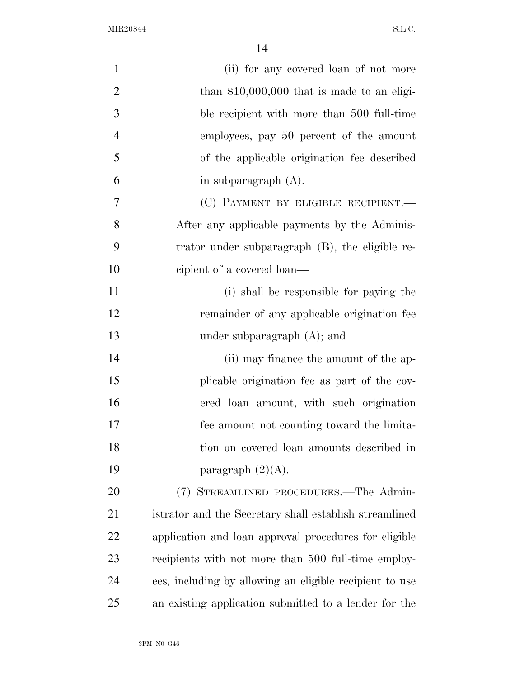| $\mathbf{1}$   | (ii) for any covered loan of not more                   |
|----------------|---------------------------------------------------------|
| $\overline{2}$ | than $$10,000,000$ that is made to an eligi-            |
| 3              | ble recipient with more than 500 full-time              |
| $\overline{4}$ | employees, pay 50 percent of the amount                 |
| 5              | of the applicable origination fee described             |
| 6              | in subparagraph $(A)$ .                                 |
| 7              | (C) PAYMENT BY ELIGIBLE RECIPIENT.—                     |
| 8              | After any applicable payments by the Adminis-           |
| 9              | trator under subparagraph (B), the eligible re-         |
| 10             | cipient of a covered loan—                              |
| 11             | (i) shall be responsible for paying the                 |
| 12             | remainder of any applicable origination fee             |
| 13             | under subparagraph $(A)$ ; and                          |
| 14             | (ii) may finance the amount of the ap-                  |
| 15             | plicable origination fee as part of the cov-            |
| 16             | ered loan amount, with such origination                 |
| 17             | fee amount not counting toward the limita-              |
| 18             | tion on covered loan amounts described in               |
| 19             | paragraph $(2)(A)$ .                                    |
| 20             | (7) STREAMLINED PROCEDURES.—The Admin-                  |
| 21             | istrator and the Secretary shall establish streamlined  |
| 22             | application and loan approval procedures for eligible   |
| 23             | recipients with not more than 500 full-time employ-     |
| 24             | ees, including by allowing an eligible recipient to use |
| 25             | an existing application submitted to a lender for the   |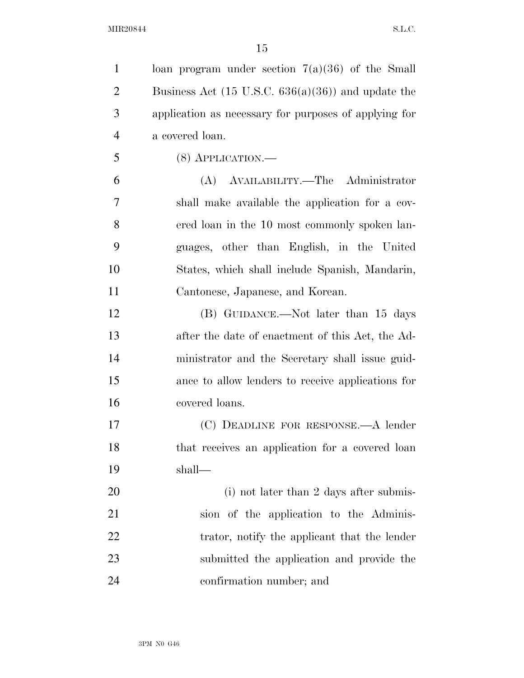| $\mathbf{1}$   | loan program under section $7(a)(36)$ of the Small            |
|----------------|---------------------------------------------------------------|
| $\overline{2}$ | Business Act $(15 \text{ U.S.C. } 636(a)(36))$ and update the |
| 3              | application as necessary for purposes of applying for         |
| $\overline{4}$ | a covered loan.                                               |
| 5              | $(8)$ APPLICATION.—                                           |
| 6              | (A) AVAILABILITY.—The Administrator                           |
| 7              | shall make available the application for a cov-               |
| 8              | ered loan in the 10 most commonly spoken lan-                 |
| 9              | guages, other than English, in the United                     |
| 10             | States, which shall include Spanish, Mandarin,                |
| 11             | Cantonese, Japanese, and Korean.                              |
| 12             | (B) GUIDANCE.—Not later than 15 days                          |
| 13             | after the date of enactment of this Act, the Ad-              |
| 14             | ministrator and the Secretary shall issue guid-               |
| 15             | ance to allow lenders to receive applications for             |
| 16             | covered loans.                                                |
| 17             | (C) DEADLINE FOR RESPONSE. A lender                           |
| 18             | that receives an application for a covered loan               |
| 19             | shall—                                                        |
| 20             | (i) not later than 2 days after submis-                       |
| 21             | sion of the application to the Adminis-                       |
| 22             | trator, notify the applicant that the lender                  |
| 23             | submitted the application and provide the                     |
| 24             | confirmation number; and                                      |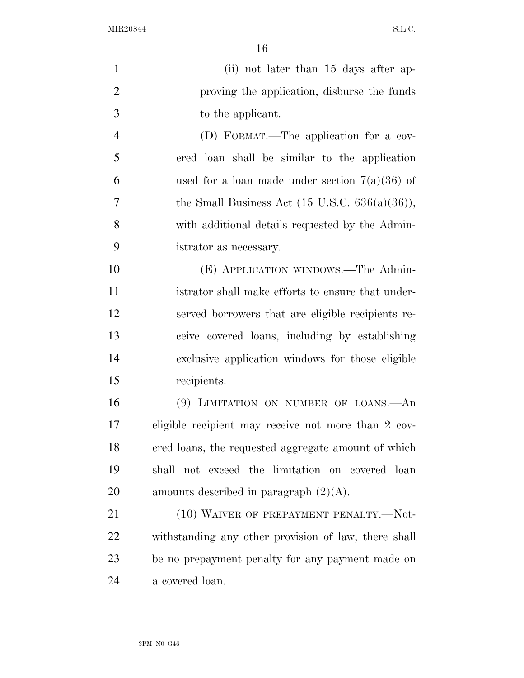| $\mathbf{1}$   | (ii) not later than 15 days after ap-                     |
|----------------|-----------------------------------------------------------|
| $\overline{2}$ | proving the application, disburse the funds               |
| 3              | to the applicant.                                         |
| $\overline{4}$ | (D) FORMAT.—The application for a cov-                    |
| 5              | ered loan shall be similar to the application             |
| 6              | used for a loan made under section $7(a)(36)$ of          |
| 7              | the Small Business Act $(15 \text{ U.S.C. } 636(a)(36)),$ |
| 8              | with additional details requested by the Admin-           |
| 9              | istrator as necessary.                                    |
| 10             | (E) APPLICATION WINDOWS.—The Admin-                       |
| 11             | istrator shall make efforts to ensure that under-         |
| 12             | served borrowers that are eligible recipients re-         |
| 13             | ceive covered loans, including by establishing            |
| 14             | exclusive application windows for those eligible          |
| 15             | recipients.                                               |
| 16             | (9) LIMITATION ON NUMBER OF LOANS.—An                     |
| 17             | eligible recipient may receive not more than 2 cov-       |
| 18             | ered loans, the requested aggregate amount of which       |
| 19             | shall not exceed the limitation on covered loan           |
| 20             | amounts described in paragraph $(2)(A)$ .                 |
| 21             | (10) WAIVER OF PREPAYMENT PENALTY.-Not-                   |
| 22             | withstanding any other provision of law, there shall      |
| 23             | be no prepayment penalty for any payment made on          |
| 24             | a covered loan.                                           |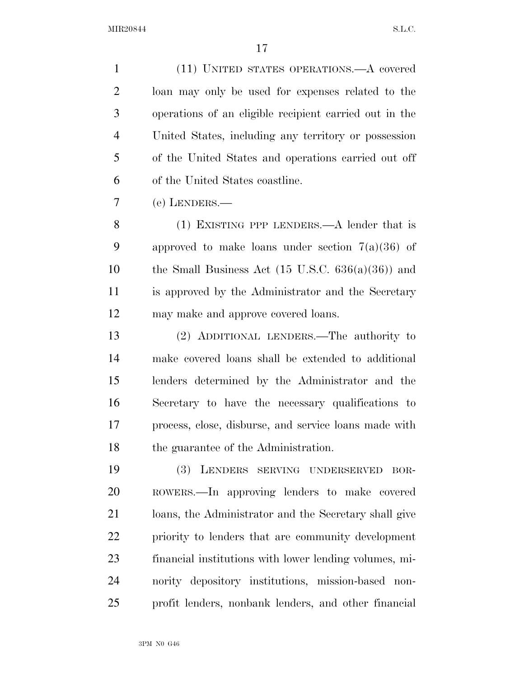(11) UNITED STATES OPERATIONS.—A covered loan may only be used for expenses related to the operations of an eligible recipient carried out in the United States, including any territory or possession of the United States and operations carried out off of the United States coastline.

(e) LENDERS.—

 (1) EXISTING PPP LENDERS.—A lender that is 9 approved to make loans under section  $7(a)(36)$  of 10 the Small Business Act  $(15 \text{ U.S.C. } 636(a)(36))$  and is approved by the Administrator and the Secretary may make and approve covered loans.

 (2) ADDITIONAL LENDERS.—The authority to make covered loans shall be extended to additional lenders determined by the Administrator and the Secretary to have the necessary qualifications to process, close, disburse, and service loans made with the guarantee of the Administration.

 (3) LENDERS SERVING UNDERSERVED BOR- ROWERS.—In approving lenders to make covered loans, the Administrator and the Secretary shall give priority to lenders that are community development financial institutions with lower lending volumes, mi- nority depository institutions, mission-based non-profit lenders, nonbank lenders, and other financial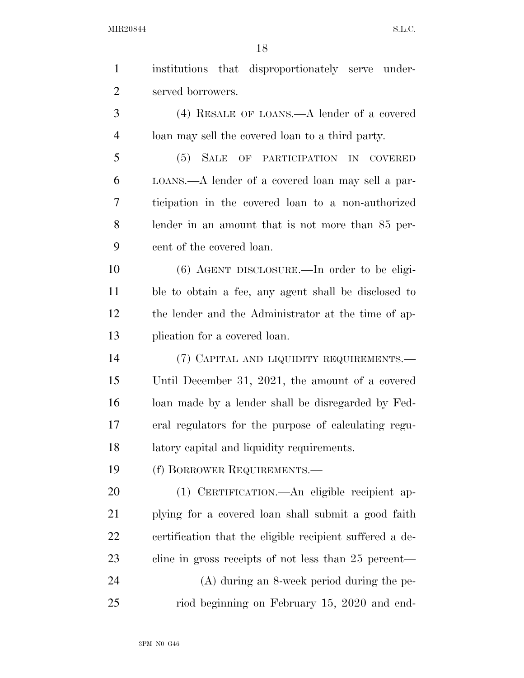| $\mathbf{1}$   | institutions that disproportionately serve under-        |
|----------------|----------------------------------------------------------|
| $\overline{2}$ | served borrowers.                                        |
| 3              | $(4)$ RESALE OF LOANS.—A lender of a covered             |
| $\overline{4}$ | loan may sell the covered loan to a third party.         |
| 5              | (5) SALE OF PARTICIPATION IN COVERED                     |
| 6              | LOANS.—A lender of a covered loan may sell a par-        |
| 7              | ticipation in the covered loan to a non-authorized       |
| 8              | lender in an amount that is not more than 85 per-        |
| 9              | cent of the covered loan.                                |
| 10             | $(6)$ AGENT DISCLOSURE.—In order to be eligi-            |
| 11             | ble to obtain a fee, any agent shall be disclosed to     |
| 12             | the lender and the Administrator at the time of ap-      |
| 13             | plication for a covered loan.                            |
| 14             | (7) CAPITAL AND LIQUIDITY REQUIREMENTS.—                 |
| 15             | Until December 31, 2021, the amount of a covered         |
| 16             | loan made by a lender shall be disregarded by Fed-       |
| 17             | eral regulators for the purpose of calculating regu-     |
| 18             | latory capital and liquidity requirements.               |
| 19             | (f) BORROWER REQUIREMENTS.-                              |
| 20             | (1) CERTIFICATION.—An eligible recipient ap-             |
| 21             | plying for a covered loan shall submit a good faith      |
| 22             | certification that the eligible recipient suffered a de- |
| 23             | cline in gross receipts of not less than 25 percent—     |
| 24             | $(A)$ during an 8-week period during the pe-             |
| 25             | riod beginning on February 15, 2020 and end-             |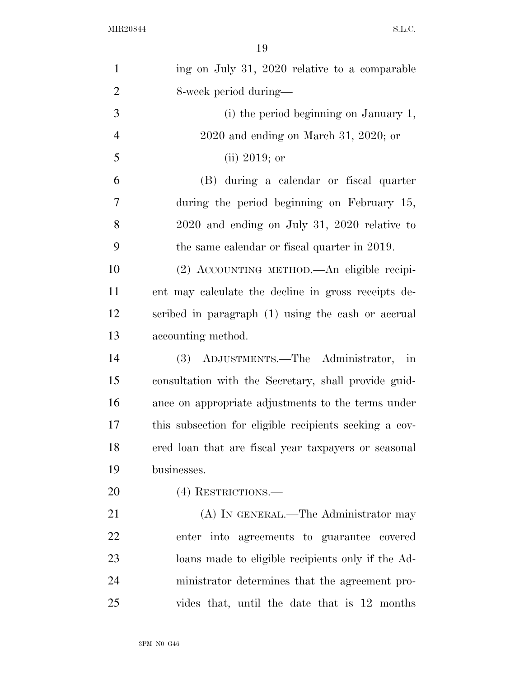| $\mathbf{1}$   | ing on July 31, 2020 relative to a comparable          |
|----------------|--------------------------------------------------------|
| $\overline{2}$ | 8-week period during—                                  |
| 3              | (i) the period beginning on January 1,                 |
| $\overline{4}$ | $2020$ and ending on March 31, 2020; or                |
| 5              | (ii) 2019; or                                          |
| 6              | (B) during a calendar or fiscal quarter                |
| 7              | during the period beginning on February 15,            |
| 8              | $2020$ and ending on July 31, 2020 relative to         |
| 9              | the same calendar or fiscal quarter in 2019.           |
| 10             | (2) ACCOUNTING METHOD.—An eligible recipi-             |
| 11             | ent may calculate the decline in gross receipts de-    |
| 12             | scribed in paragraph (1) using the cash or accrual     |
| 13             | accounting method.                                     |
| 14             | (3) ADJUSTMENTS.—The Administrator,<br>in              |
| 15             | consultation with the Secretary, shall provide guid-   |
| 16             | ance on appropriate adjustments to the terms under     |
| 17             | this subsection for eligible recipients seeking a cov- |
| 18             | ered loan that are fiscal year taxpayers or seasonal   |
| 19             | businesses.                                            |
| 20             | (4) RESTRICTIONS.—                                     |
| 21             | (A) IN GENERAL.—The Administrator may                  |
| 22             | enter into agreements to guarantee covered             |
| 23             | loans made to eligible recipients only if the Ad-      |
| 24             | ministrator determines that the agreement pro-         |
| 25             | vides that, until the date that is 12 months           |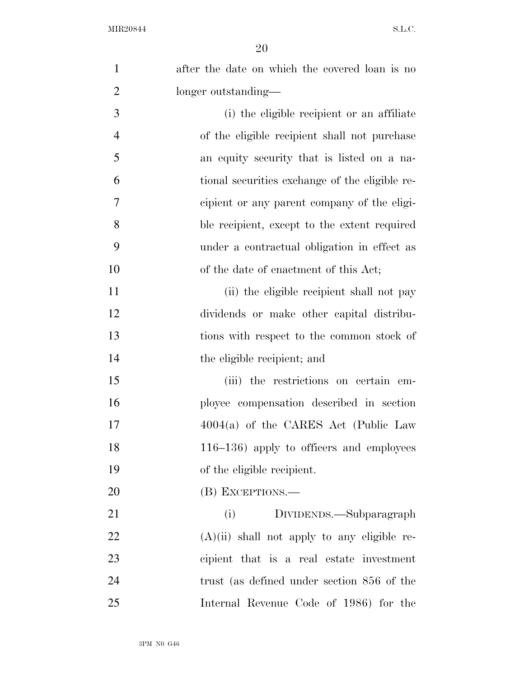| $\mathbf{1}$   | after the date on which the covered loan is no |
|----------------|------------------------------------------------|
| $\overline{2}$ | longer outstanding—                            |
| 3              | (i) the eligible recipient or an affiliate     |
| $\overline{4}$ | of the eligible recipient shall not purchase   |
| 5              | an equity security that is listed on a na-     |
| 6              | tional securities exchange of the eligible re- |
| 7              | cipient or any parent company of the eligi-    |
| 8              | ble recipient, except to the extent required   |
| 9              | under a contractual obligation in effect as    |
| 10             | of the date of enactment of this Act;          |
| 11             | (ii) the eligible recipient shall not pay      |
| 12             | dividends or make other capital distribu-      |
| 13             | tions with respect to the common stock of      |
| 14             | the eligible recipient; and                    |
| 15             | (iii) the restrictions on certain em-          |
| 16             | ployee compensation described in section       |
| 17             | $4004(a)$ of the CARES Act (Public Law         |
| 18             | $116-136$ ) apply to officers and employees    |
| 19             | of the eligible recipient.                     |
| 20             | (B) EXCEPTIONS.—                               |
| 21             | (i)<br>DIVIDENDS.—Subparagraph                 |
| 22             | $(A)(ii)$ shall not apply to any eligible re-  |
| 23             | cipient that is a real estate investment       |
| 24             | trust (as defined under section 856 of the     |
| 25             | Internal Revenue Code of 1986) for the         |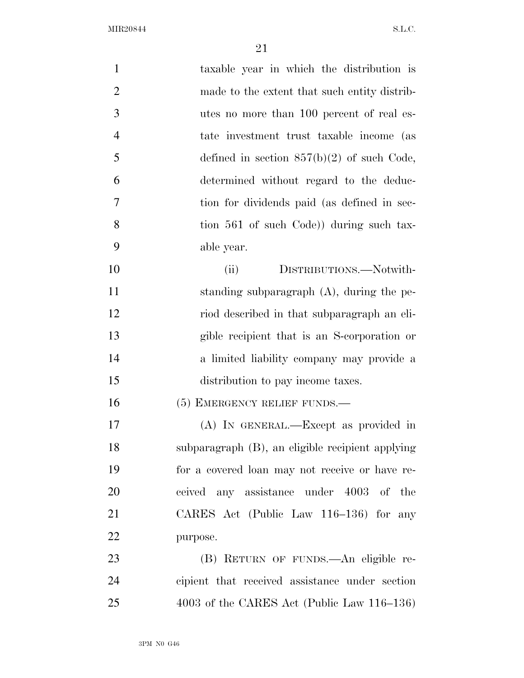| $\mathbf{1}$   | taxable year in which the distribution is        |
|----------------|--------------------------------------------------|
| $\overline{2}$ | made to the extent that such entity distrib-     |
| 3              | utes no more than 100 percent of real es-        |
| $\overline{4}$ | tate investment trust taxable income (as         |
| 5              | defined in section $857(b)(2)$ of such Code,     |
| 6              | determined without regard to the deduc-          |
| 7              | tion for dividends paid (as defined in sec-      |
| 8              | tion 561 of such Code) during such tax-          |
| 9              | able year.                                       |
| 10             | DISTRIBUTIONS.-Notwith-<br>(ii)                  |
| 11             | standing subparagraph (A), during the pe-        |
| 12             | riod described in that subparagraph an eli-      |
| 13             | gible recipient that is an S-corporation or      |
| 14             | a limited liability company may provide a        |
| 15             | distribution to pay income taxes.                |
| 16             | $(5)$ EMERGENCY RELIEF FUNDS.—                   |
| 17             | (A) IN GENERAL.—Except as provided in            |
| 18             | subparagraph (B), an eligible recipient applying |
| 19             | for a covered loan may not receive or have re-   |
| 20             | ceived any assistance under 4003 of the          |
| 21             | CARES Act (Public Law 116–136) for any           |
| 22             | purpose.                                         |
| 23             | (B) RETURN OF FUNDS.—An eligible re-             |
| 24             | cipient that received assistance under section   |
| 25             | 4003 of the CARES Act (Public Law 116-136)       |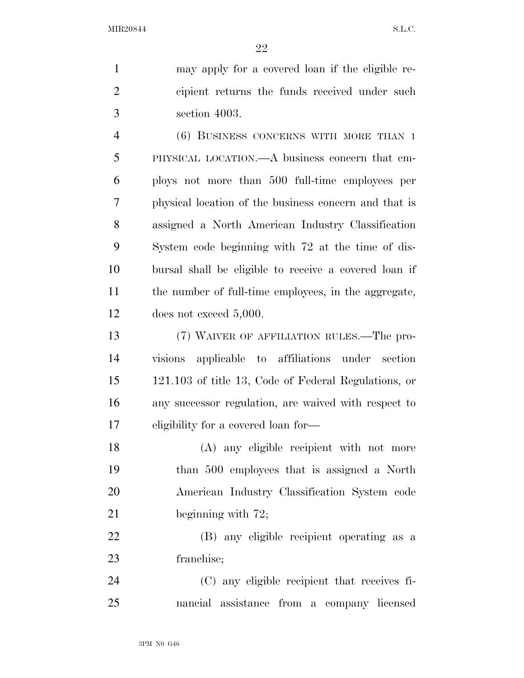may apply for a covered loan if the eligible re- cipient returns the funds received under such section 4003.

 (6) BUSINESS CONCERNS WITH MORE THAN 1 PHYSICAL LOCATION.—A business concern that em- ploys not more than 500 full-time employees per physical location of the business concern and that is assigned a North American Industry Classification System code beginning with 72 at the time of dis- bursal shall be eligible to receive a covered loan if the number of full-time employees, in the aggregate, does not exceed 5,000.

 (7) WAIVER OF AFFILIATION RULES.—The pro- visions applicable to affiliations under section 121.103 of title 13, Code of Federal Regulations, or any successor regulation, are waived with respect to eligibility for a covered loan for—

 (A) any eligible recipient with not more than 500 employees that is assigned a North American Industry Classification System code 21 beginning with 72;

 (B) any eligible recipient operating as a franchise;

 (C) any eligible recipient that receives fi-nancial assistance from a company licensed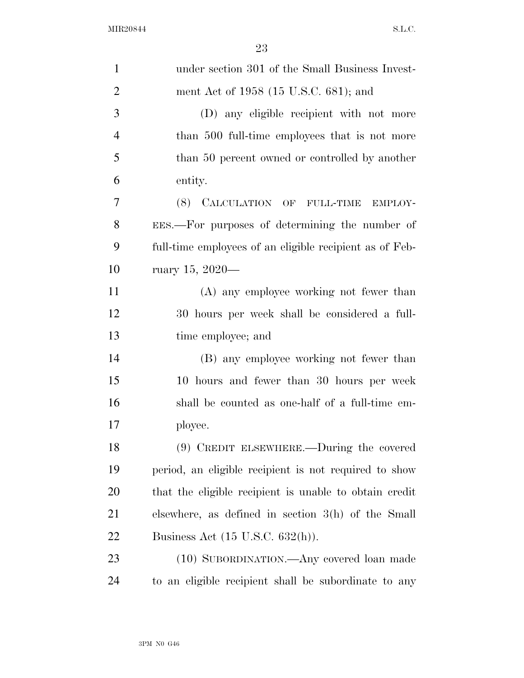| $\mathbf{1}$   | under section 301 of the Small Business Invest-         |
|----------------|---------------------------------------------------------|
| $\overline{2}$ | ment Act of 1958 (15 U.S.C. 681); and                   |
| 3              | (D) any eligible recipient with not more                |
| $\overline{4}$ | than 500 full-time employees that is not more           |
| 5              | than 50 percent owned or controlled by another          |
| 6              | entity.                                                 |
| 7              | (8) CALCULATION OF FULL-TIME EMPLOY-                    |
| 8              | EES.—For purposes of determining the number of          |
| 9              | full-time employees of an eligible recipient as of Feb- |
| 10             | ruary 15, 2020—                                         |
| 11             | (A) any employee working not fewer than                 |
| 12             | 30 hours per week shall be considered a full-           |
| 13             | time employee; and                                      |
| 14             | (B) any employee working not fewer than                 |
| 15             | 10 hours and fewer than 30 hours per week               |
| 16             | shall be counted as one-half of a full-time em-         |
| 17             | ployee.                                                 |
| 18             | $(9)$ CREDIT ELSEWHERE.—During the covered              |
| 19             | period, an eligible recipient is not required to show   |
| 20             | that the eligible recipient is unable to obtain credit  |
| 21             | elsewhere, as defined in section $3(h)$ of the Small    |
| 22             | Business Act $(15 \text{ U.S.C. } 632(\text{h}))$ .     |
| 23             | (10) SUBORDINATION.—Any covered loan made               |
| 24             | to an eligible recipient shall be subordinate to any    |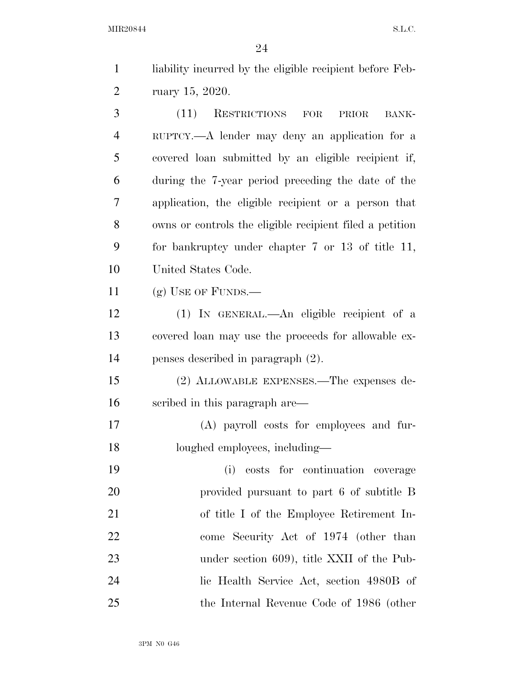| $\mathbf{1}$ | liability incurred by the eligible recipient before Feb- |
|--------------|----------------------------------------------------------|
| 2            | ruary 15, 2020.                                          |
| 3            | (11)<br><b>RESTRICTIONS</b><br>FOR<br>PRIOR<br>BANK-     |
| 4            | RUPTCY.—A lender may deny an application for a           |
| 5            | covered loan submitted by an eligible recipient if,      |
| 6            | during the 7-year period preceding the date of the       |
| 7            | application, the eligible recipient or a person that     |
| 8            | owns or controls the eligible recipient filed a petition |
| 9            | for bankruptcy under chapter $7$ or $13$ of title 11,    |
| 10           | United States Code.                                      |
| 11           | $(g)$ USE OF FUNDS.—                                     |
| 12           | (1) IN GENERAL.—An eligible recipient of a               |
| 13           | covered loan may use the proceeds for allowable ex-      |
| 14           | penses described in paragraph $(2)$ .                    |
| 15           | (2) ALLOWABLE EXPENSES.—The expenses de-                 |
| 16           | scribed in this paragraph are—                           |
| 17           | (A) payroll costs for employees and fur-                 |
| 18           | loughed employees, including-                            |
| 19           | (i)<br>costs for continuation coverage                   |
| <b>20</b>    | provided pursuant to part 6 of subtitle B                |
| 21           | of title I of the Employee Retirement In-                |
| 22           | come Security Act of 1974 (other than                    |
| 23           | under section 609), title XXII of the Pub-               |
| 24           | lic Health Service Act, section 4980B of                 |
| 25           | the Internal Revenue Code of 1986 (other                 |
|              |                                                          |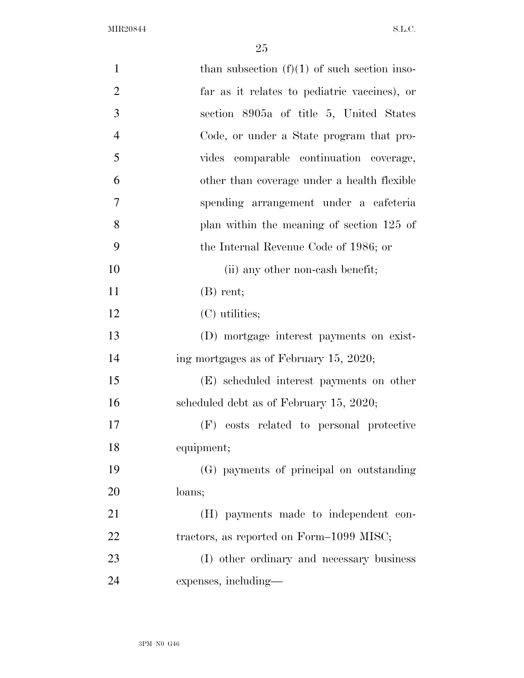| $\mathbf{1}$   | than subsection $(f)(1)$ of such section inso- |  |
|----------------|------------------------------------------------|--|
| $\overline{2}$ | far as it relates to pediatric vaccines), or   |  |
| 3              | section 8905a of title 5, United States        |  |
| $\overline{4}$ | Code, or under a State program that pro-       |  |
| 5              | vides comparable continuation coverage,        |  |
| 6              | other than coverage under a health flexible    |  |
| $\overline{7}$ | spending arrangement under a cafeteria         |  |
| 8              | plan within the meaning of section 125 of      |  |
| 9              | the Internal Revenue Code of 1986; or          |  |
| 10             | (ii) any other non-cash benefit;               |  |
| 11             | $(B)$ rent;                                    |  |
| 12             | (C) utilities;                                 |  |
| 13             | (D) mortgage interest payments on exist-       |  |
| 14             | ing mortgages as of February 15, 2020;         |  |
| 15             | (E) scheduled interest payments on other       |  |
| 16             | scheduled debt as of February 15, 2020;        |  |
| 17             | costs related to personal protective<br>(F)    |  |
| 18             | equipment;                                     |  |
| 19             | (G) payments of principal on outstanding       |  |
| 20             | loans;                                         |  |
| 21             | (H) payments made to independent con-          |  |
| 22             | tractors, as reported on Form–1099 MISC;       |  |
| 23             | (I) other ordinary and necessary business      |  |
| 24             | expenses, including—                           |  |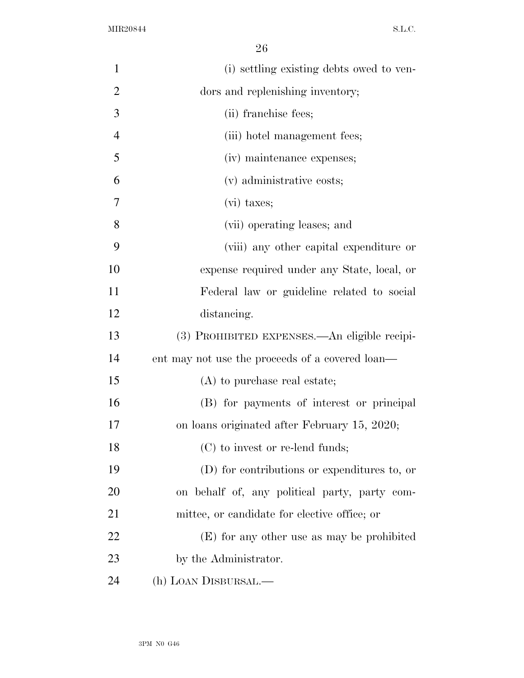| œ |        |
|---|--------|
|   | I<br>× |

| $\mathbf{1}$   | (i) settling existing debts owed to ven-        |
|----------------|-------------------------------------------------|
| $\overline{2}$ | dors and replenishing inventory;                |
| 3              | (ii) franchise fees;                            |
| $\overline{4}$ | (iii) hotel management fees;                    |
| 5              | (iv) maintenance expenses;                      |
| 6              | (v) administrative costs;                       |
| 7              | $(vi)$ taxes;                                   |
| 8              | (vii) operating leases; and                     |
| 9              | (viii) any other capital expenditure or         |
| 10             | expense required under any State, local, or     |
| 11             | Federal law or guideline related to social      |
| 12             | distancing.                                     |
| 13             | (3) PROHIBITED EXPENSES.—An eligible recipi-    |
| 14             | ent may not use the proceeds of a covered loan— |
| 15             | (A) to purchase real estate;                    |
| 16             | (B) for payments of interest or principal       |
| 17             | on loans originated after February 15, 2020;    |
| 18             | $(C)$ to invest or re-lend funds;               |
| 19             | (D) for contributions or expenditures to, or    |
| 20             | on behalf of, any political party, party com-   |
| 21             | mittee, or candidate for elective office; or    |
| 22             | (E) for any other use as may be prohibited      |
| 23             | by the Administrator.                           |
| 24             | (h) LOAN DISBURSAL.—                            |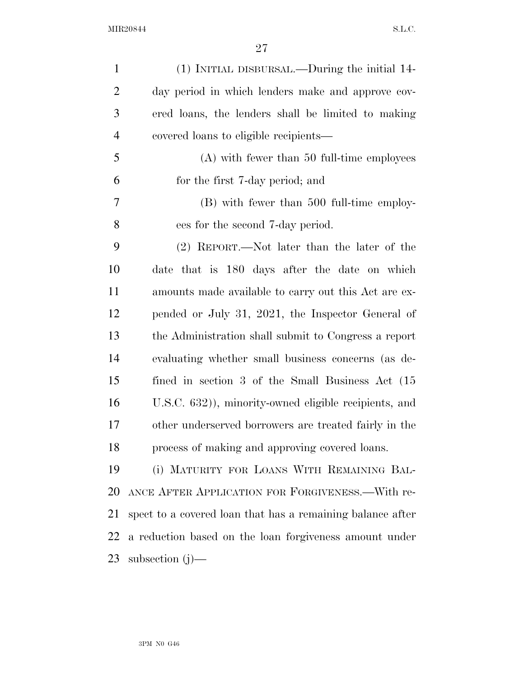| $\mathbf{1}$   | (1) INITIAL DISBURSAL.—During the initial 14-              |
|----------------|------------------------------------------------------------|
| $\overline{2}$ | day period in which lenders make and approve cov-          |
| 3              | ered loans, the lenders shall be limited to making         |
| $\overline{4}$ | covered loans to eligible recipients—                      |
| 5              | $(A)$ with fewer than 50 full-time employees               |
| 6              | for the first 7-day period; and                            |
| 7              | (B) with fewer than 500 full-time employ-                  |
| 8              | ees for the second 7-day period.                           |
| 9              | (2) REPORT.—Not later than the later of the                |
| 10             | date that is 180 days after the date on which              |
| 11             | amounts made available to carry out this Act are ex-       |
| 12             | pended or July 31, 2021, the Inspector General of          |
| 13             | the Administration shall submit to Congress a report       |
| 14             | evaluating whether small business concerns (as de-         |
| 15             | fined in section 3 of the Small Business Act (15)          |
| 16             | U.S.C. 632)), minority-owned eligible recipients, and      |
| 17             | other underserved borrowers are treated fairly in the      |
| 18             | process of making and approving covered loans.             |
| 19             | (i) MATURITY FOR LOANS WITH REMAINING BAL-                 |
| 20             | ANCE AFTER APPLICATION FOR FORGIVENESS.—With re-           |
| 21             | spect to a covered loan that has a remaining balance after |
| 22             | a reduction based on the loan forgiveness amount under     |
| 23             | subsection $(j)$ —                                         |
|                |                                                            |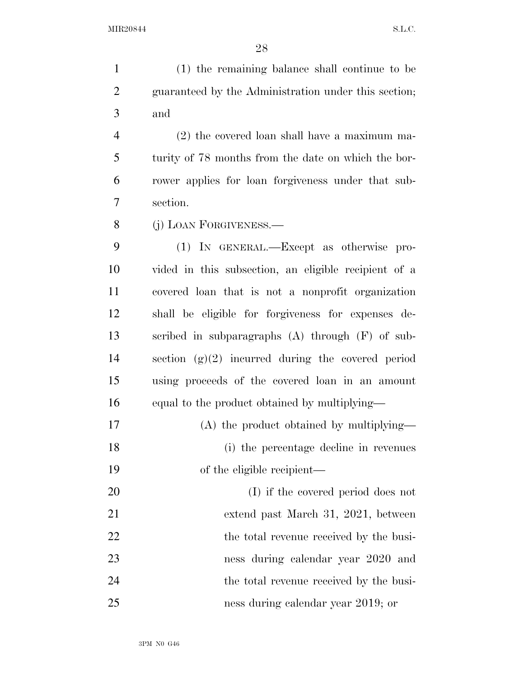(1) the remaining balance shall continue to be guaranteed by the Administration under this section; and (2) the covered loan shall have a maximum ma-turity of 78 months from the date on which the bor-

 rower applies for loan forgiveness under that sub-section.

(j) LOAN FORGIVENESS.—

 (1) IN GENERAL.—Except as otherwise pro- vided in this subsection, an eligible recipient of a covered loan that is not a nonprofit organization shall be eligible for forgiveness for expenses de- scribed in subparagraphs (A) through (F) of sub- section (g)(2) incurred during the covered period using proceeds of the covered loan in an amount equal to the product obtained by multiplying—

(A) the product obtained by multiplying—

 (i) the percentage decline in revenues of the eligible recipient—

 (I) if the covered period does not extend past March 31, 2021, between 22 the total revenue received by the busi- ness during calendar year 2020 and the total revenue received by the busi-ness during calendar year 2019; or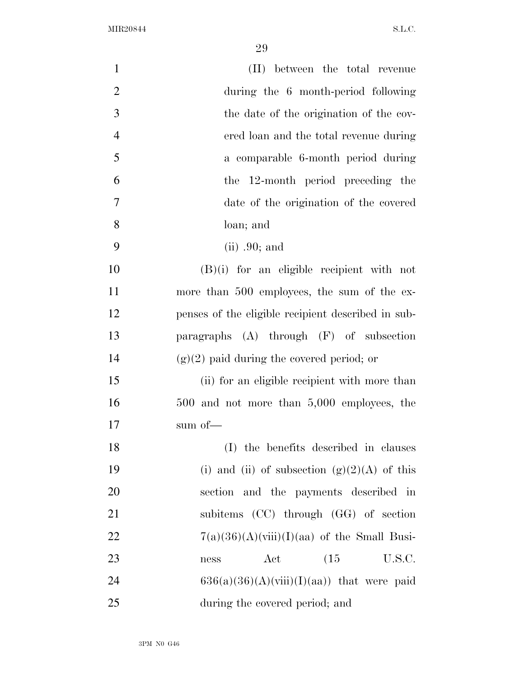| $\mathbf{1}$   | (II) between the total revenue                     |
|----------------|----------------------------------------------------|
| $\overline{2}$ | during the 6 month-period following                |
| 3              | the date of the origination of the cov-            |
| $\overline{4}$ | ered loan and the total revenue during             |
| 5              | a comparable 6-month period during                 |
| 6              | the 12-month period preceding the                  |
| 7              | date of the origination of the covered             |
| 8              | loan; and                                          |
| 9              | $(ii)$ .90; and                                    |
| 10             | $(B)(i)$ for an eligible recipient with not        |
| 11             | more than 500 employees, the sum of the ex-        |
| 12             | penses of the eligible recipient described in sub- |
| 13             | paragraphs (A) through (F) of subsection           |
| 14             | $(g)(2)$ paid during the covered period; or        |
| 15             | (ii) for an eligible recipient with more than      |
| 16             | $500$ and not more than $5,000$ employees, the     |
| 17             | sum of—                                            |
| 18             | (I) the benefits described in clauses              |
| 19             | (i) and (ii) of subsection $(g)(2)(A)$ of this     |
| 20             | section and the payments described in              |
| 21             | subitems (CC) through (GG) of section              |
| 22             | $7(a)(36)(A)(viii)(I)(aa)$ of the Small Busi-      |
| 23             | (15)<br>Act<br>U.S.C.<br>ness                      |
| 24             | $636(a)(36)(A)(viii)(I)(aa))$ that were paid       |
| 25             | during the covered period; and                     |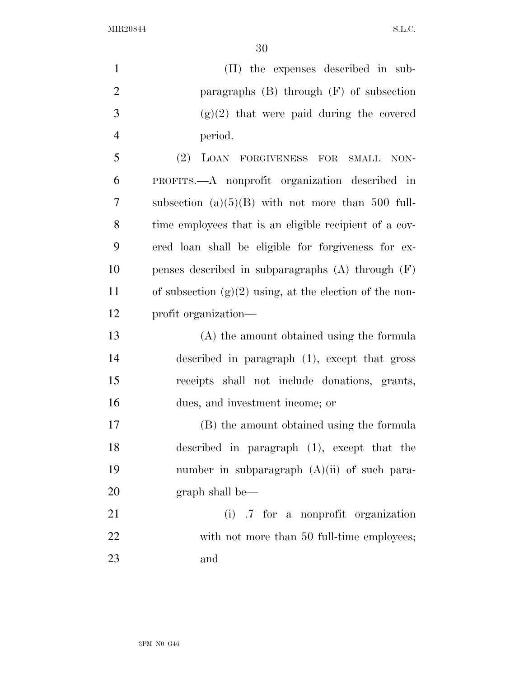(II) the expenses described in sub- paragraphs (B) through (F) of subsection 3 (g)(2) that were paid during the covered period. (2) LOAN FORGIVENESS FOR SMALL NON- PROFITS.—A nonprofit organization described in subsection (a)(5)(B) with not more than 500 full- time employees that is an eligible recipient of a cov- ered loan shall be eligible for forgiveness for ex- penses described in subparagraphs (A) through (F) 11 of subsection  $(g)(2)$  using, at the election of the non- profit organization— (A) the amount obtained using the formula described in paragraph (1), except that gross receipts shall not include donations, grants, dues, and investment income; or (B) the amount obtained using the formula described in paragraph (1), except that the number in subparagraph (A)(ii) of such para-20 graph shall be— (i) .7 for a nonprofit organization 22 with not more than 50 full-time employees;

and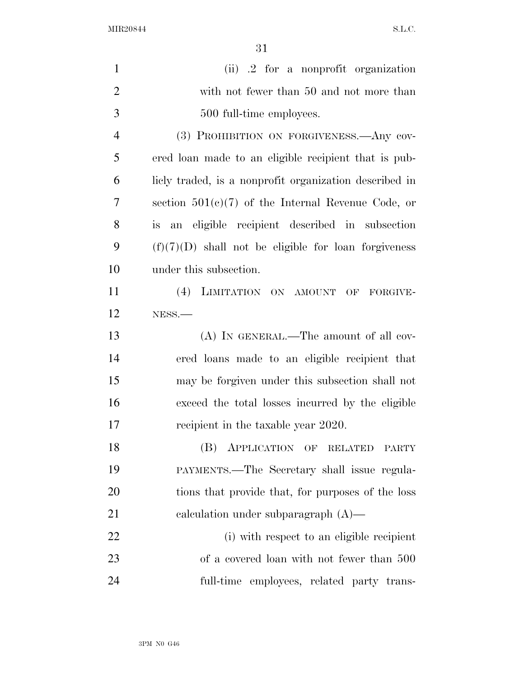| $\mathbf{1}$   | (ii) .2 for a nonprofit organization                   |
|----------------|--------------------------------------------------------|
| $\overline{2}$ | with not fewer than 50 and not more than               |
| 3              | 500 full-time employees.                               |
| $\overline{4}$ | (3) PROHIBITION ON FORGIVENESS.—Any cov-               |
| 5              | ered loan made to an eligible recipient that is pub-   |
| 6              | licly traded, is a nonprofit organization described in |
| 7              | section $501(c)(7)$ of the Internal Revenue Code, or   |
| 8              | an eligible recipient described in subsection<br>is    |
| 9              | $(f)(7)(D)$ shall not be eligible for loan forgiveness |
| 10             | under this subsection.                                 |
| 11             | (4) LIMITATION ON AMOUNT OF FORGIVE-                   |
| 12             | NESS.-                                                 |
| 13             | (A) IN GENERAL.—The amount of all cov-                 |
| 14             | ered loans made to an eligible recipient that          |
| 15             | may be forgiven under this subsection shall not        |
| 16             | exceed the total losses incurred by the eligible       |
| 17             | recipient in the taxable year 2020.                    |
| 18             | (B) APPLICATION OF RELATED<br><b>PARTY</b>             |
| 19             | PAYMENTS.—The Secretary shall issue regula-            |
| 20             | tions that provide that, for purposes of the loss      |
| 21             | calculation under subparagraph $(A)$ —                 |
| 22             | (i) with respect to an eligible recipient              |
| 23             | of a covered loan with not fewer than 500              |
| 24             | full-time employees, related party trans-              |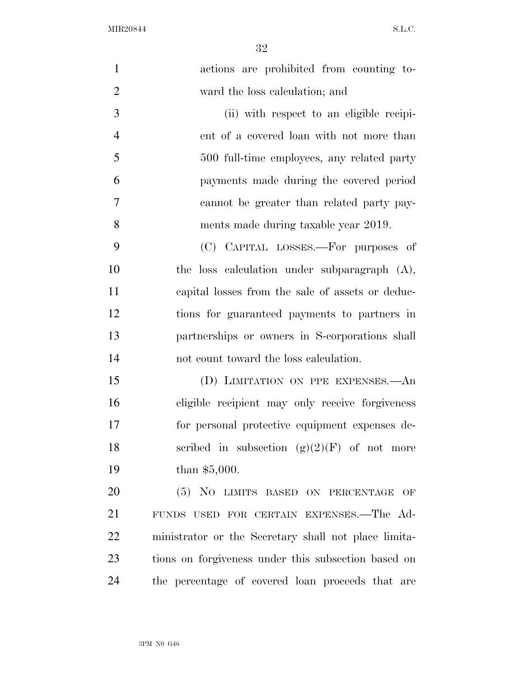| $\mathbf{1}$   | actions are prohibited from counting to-                    |
|----------------|-------------------------------------------------------------|
| $\overline{2}$ | ward the loss calculation; and                              |
| 3              | (ii) with respect to an eligible recipi-                    |
| $\overline{4}$ | ent of a covered loan with not more than                    |
| 5              | 500 full-time employees, any related party                  |
| 6              | payments made during the covered period                     |
| 7              | cannot be greater than related party pay-                   |
| 8              | ments made during taxable year 2019.                        |
| 9              | (C) CAPITAL LOSSES.—For purposes of                         |
| 10             | the loss calculation under subparagraph $(A)$ ,             |
| 11             | capital losses from the sale of assets or deduc-            |
| 12             | tions for guaranteed payments to partners in                |
| 13             | partnerships or owners in S-corporations shall              |
| 14             | not count toward the loss calculation.                      |
| 15             | (D) LIMITATION ON PPE EXPENSES.—An                          |
| 16             | eligible recipient may only receive forgiveness             |
| 17             | for personal protective equipment expenses de-              |
| 18             | scribed in subsection $(g)(2)(F)$ of not more               |
| 19             | than $$5,000$ .                                             |
| 20             | (5) NO LIMITS BASED ON PERCENTAGE<br>$\overline{\text{OF}}$ |
| 21             | FUNDS USED FOR CERTAIN EXPENSES. The Ad-                    |
| 22             | ministrator or the Secretary shall not place limita-        |
| 23             | tions on forgiveness under this subsection based on         |
| 24             | the percentage of covered loan proceeds that are            |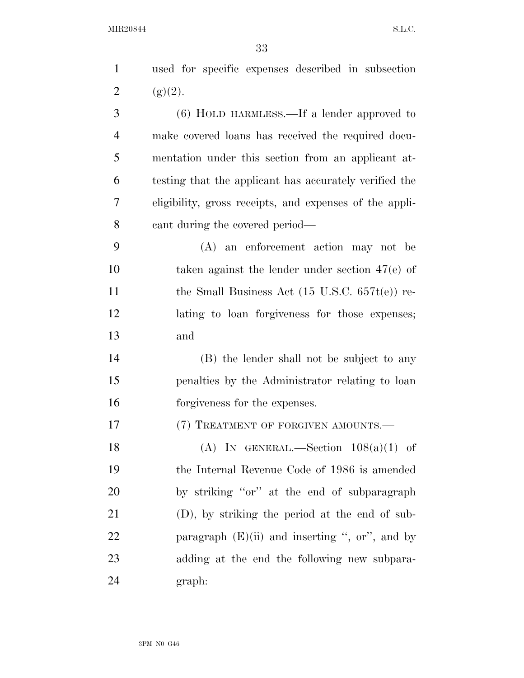| $\mathbf{1}$   | used for specific expenses described in subsection        |
|----------------|-----------------------------------------------------------|
| 2              | (g)(2).                                                   |
| 3              | $(6)$ HOLD HARMLESS.—If a lender approved to              |
| $\overline{4}$ | make covered loans has received the required docu-        |
| 5              | mentation under this section from an applicant at-        |
| 6              | testing that the applicant has accurately verified the    |
| 7              | eligibility, gross receipts, and expenses of the appli-   |
| 8              | cant during the covered period—                           |
| 9              | (A) an enforcement action may not be                      |
| 10             | taken against the lender under section $47(e)$ of         |
| 11             | the Small Business Act $(15 \text{ U.S.C. } 657t(e))$ re- |
| 12             | lating to loan forgiveness for those expenses;            |
| 13             | and                                                       |
| 14             | (B) the lender shall not be subject to any                |
| 15             | penalties by the Administrator relating to loan           |
| 16             | forgiveness for the expenses.                             |
| 17             | (7) TREATMENT OF FORGIVEN AMOUNTS.                        |
| 18             | (A) IN GENERAL.—Section $108(a)(1)$ of                    |
| 19             | the Internal Revenue Code of 1986 is amended              |
| 20             | by striking "or" at the end of subparagraph               |
| 21             | (D), by striking the period at the end of sub-            |
| 22             | paragraph $(E)(ii)$ and inserting ", or", and by          |
| 23             | adding at the end the following new subpara-              |
| 24             | graph:                                                    |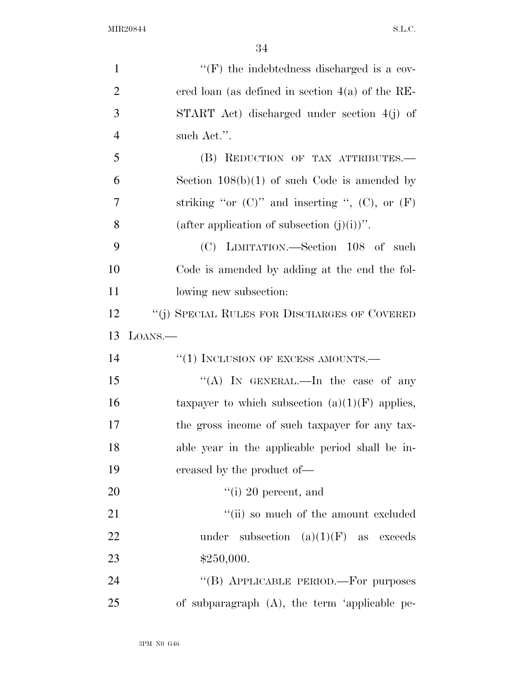| $\mathbf{1}$   | $\lq\lq(F)$ the indebtedness discharged is a cov-      |
|----------------|--------------------------------------------------------|
| $\overline{2}$ | ered loan (as defined in section $4(a)$ of the RE-     |
| 3              | START Act) discharged under section 4(j) of            |
| $\overline{4}$ | such Act.".                                            |
| 5              | (B) REDUCTION OF TAX ATTRIBUTES.                       |
| 6              | Section $108(b)(1)$ of such Code is amended by         |
| $\overline{7}$ | striking "or $(C)$ " and inserting ", $(C)$ , or $(F)$ |
| 8              | (after application of subsection $(j)(i)$ )".          |
| 9              | (C) LIMITATION.—Section 108 of such                    |
| 10             | Code is amended by adding at the end the fol-          |
| 11             | lowing new subsection:                                 |
| 12             | "(j) SPECIAL RULES FOR DISCHARGES OF COVERED           |
| 13             | LOANS.                                                 |
| 14             | $``(1)$ INCLUSION OF EXCESS AMOUNTS.—                  |
| 15             | "(A) IN GENERAL.—In the case of any                    |
| 16             | taxpayer to which subsection $(a)(1)(F)$ applies,      |
| 17             | the gross income of such taxpayer for any tax-         |
| 18             | able year in the applicable period shall be in-        |
| 19             | creased by the product of—                             |
| 20             | $\lq\lq$ (i) 20 percent, and                           |
| 21             | "(ii) so much of the amount excluded                   |
| 22             | under subsection $(a)(1)(F)$ as exceeds                |
| 23             | \$250,000.                                             |
| 24             | "(B) APPLICABLE PERIOD.—For purposes                   |
| 25             | of subparagraph $(A)$ , the term 'applicable pe-       |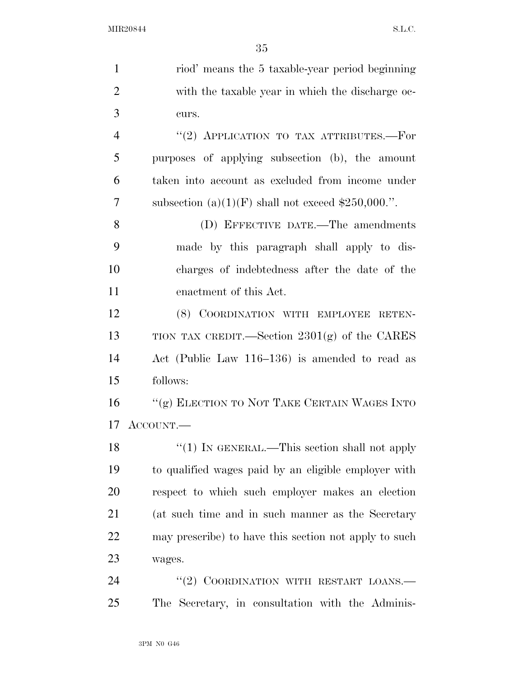| $\mathbf{1}$   | riod' means the 5 taxable-year period beginning       |
|----------------|-------------------------------------------------------|
| $\overline{2}$ | with the taxable year in which the discharge oc-      |
| 3              | curs.                                                 |
| $\overline{4}$ | "(2) APPLICATION TO TAX ATTRIBUTES.-For               |
| 5              | purposes of applying subsection (b), the amount       |
| 6              | taken into account as excluded from income under      |
| 7              | subsection (a) $(1)(F)$ shall not exceed \$250,000.". |
| 8              | (D) EFFECTIVE DATE.—The amendments                    |
| 9              | made by this paragraph shall apply to dis-            |
| 10             | charges of indebtedness after the date of the         |
| 11             | enactment of this Act.                                |
| 12             | (8) COORDINATION WITH EMPLOYEE RETEN-                 |
| 13             | TION TAX CREDIT.—Section $2301(g)$ of the CARES       |
| 14             | Act (Public Law 116–136) is amended to read as        |
| 15             | follows:                                              |
| 16             | "(g) ELECTION TO NOT TAKE CERTAIN WAGES INTO          |
| 17             | ACCOUNT.—                                             |
| 18             | "(1) IN GENERAL.—This section shall not apply         |
| 19             | to qualified wages paid by an eligible employer with  |
| <b>20</b>      | respect to which such employer makes an election      |
| 21             | (at such time and in such manner as the Secretary     |
| <u>22</u>      | may prescribe) to have this section not apply to such |
| 23             | wages.                                                |
| 24             | "(2) COORDINATION WITH RESTART LOANS.-                |
| 25             | The Secretary, in consultation with the Adminis-      |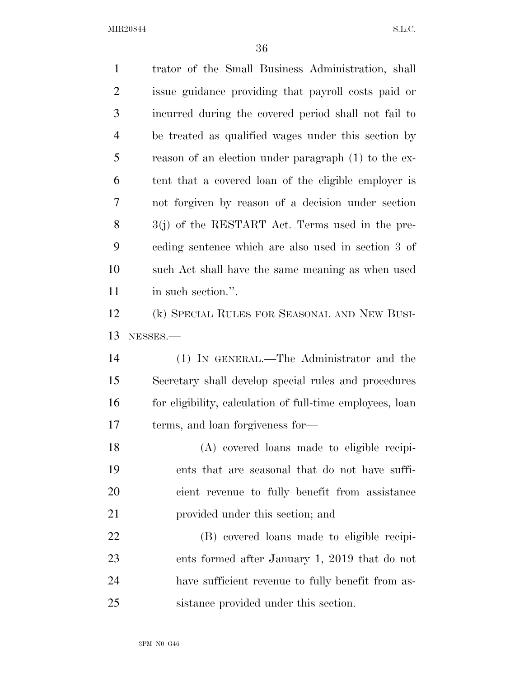| $\mathbf{1}$   | trator of the Small Business Administration, shall        |
|----------------|-----------------------------------------------------------|
| $\overline{2}$ | issue guidance providing that payroll costs paid or       |
| 3              | incurred during the covered period shall not fail to      |
| 4              | be treated as qualified wages under this section by       |
| 5              | reason of an election under paragraph (1) to the ex-      |
| 6              | tent that a covered loan of the eligible employer is      |
| 7              | not forgiven by reason of a decision under section        |
| 8              | 3(j) of the RESTART Act. Terms used in the pre-           |
| 9              | ceding sentence which are also used in section 3 of       |
| 10             | such Act shall have the same meaning as when used         |
| 11             | in such section.".                                        |
| 12             | (k) SPECIAL RULES FOR SEASONAL AND NEW BUSI-              |
| 13             | NESSES.-                                                  |
| 14             | (1) IN GENERAL.—The Administrator and the                 |
| 15             | Secretary shall develop special rules and procedures      |
| 16             | for eligibility, calculation of full-time employees, loan |
| 17             | terms, and loan forgiveness for—                          |
| 18             | (A) covered loans made to eligible recipi-                |
| 19             | ents that are seasonal that do not have suffi-            |
| 20             | cient revenue to fully benefit from assistance            |
| 21             | provided under this section; and                          |
| 22             | (B) covered loans made to eligible recipi-                |
| 23             | ents formed after January 1, 2019 that do not             |
| 24             | have sufficient revenue to fully benefit from as-         |
| 25             | sistance provided under this section.                     |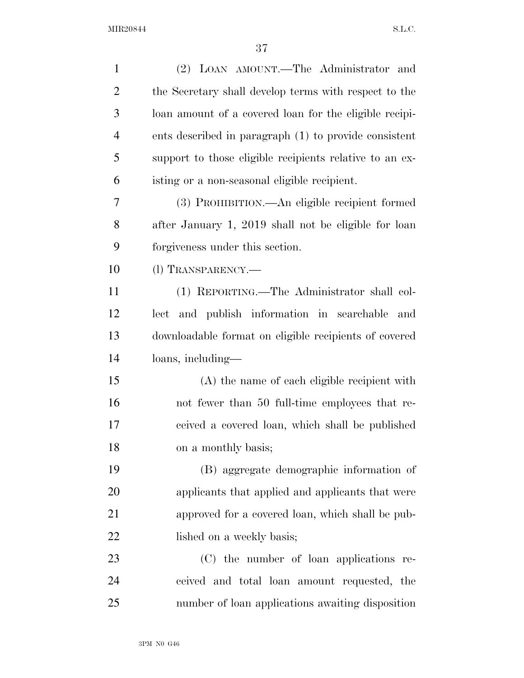| $\mathbf{1}$   | (2) LOAN AMOUNT.—The Administrator and                  |
|----------------|---------------------------------------------------------|
| $\overline{2}$ | the Secretary shall develop terms with respect to the   |
| 3              | loan amount of a covered loan for the eligible recipi-  |
| $\overline{4}$ | ents described in paragraph (1) to provide consistent   |
| 5              | support to those eligible recipients relative to an ex- |
| 6              | isting or a non-seasonal eligible recipient.            |
| 7              | (3) PROHIBITION.—An eligible recipient formed           |
| 8              | after January 1, 2019 shall not be eligible for loan    |
| 9              | forgiveness under this section.                         |
| 10             | (1) TRANSPARENCY.—                                      |
| 11             | (1) REPORTING.—The Administrator shall col-             |
| 12             | and publish information in searchable<br>lect<br>and    |
| 13             | downloadable format on eligible recipients of covered   |
| 14             | loans, including—                                       |
| 15             | (A) the name of each eligible recipient with            |
| 16             | not fewer than 50 full-time employees that re-          |
| 17             | ceived a covered loan, which shall be published         |
| 18             | on a monthly basis;                                     |
| 19             | (B) aggregate demographic information of                |
| <b>20</b>      | applicants that applied and applicants that were        |
| 21             | approved for a covered loan, which shall be pub-        |
| 22             | lished on a weekly basis;                               |
| 23             | (C) the number of loan applications re-                 |
| 24             | ceived and total loan amount requested, the             |
| 25             | number of loan applications awaiting disposition        |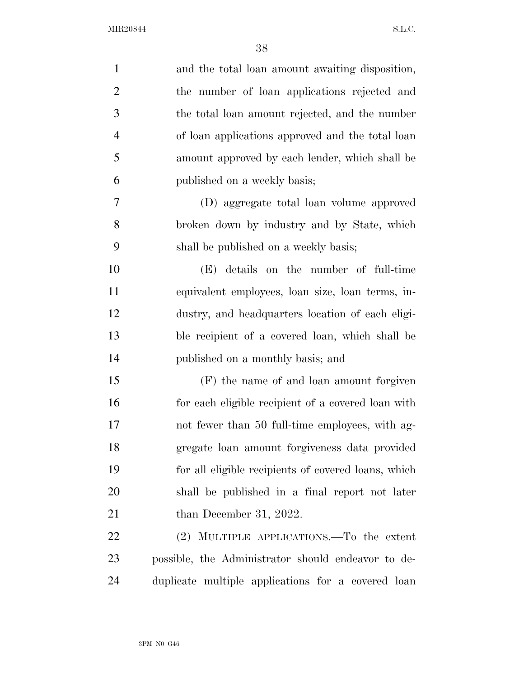| $\mathbf{1}$   | and the total loan amount awaiting disposition,     |
|----------------|-----------------------------------------------------|
| $\overline{2}$ | the number of loan applications rejected and        |
| 3              | the total loan amount rejected, and the number      |
| $\overline{4}$ | of loan applications approved and the total loan    |
| 5              | amount approved by each lender, which shall be      |
| 6              | published on a weekly basis;                        |
| 7              | (D) aggregate total loan volume approved            |
| 8              | broken down by industry and by State, which         |
| 9              | shall be published on a weekly basis;               |
| 10             | (E) details on the number of full-time              |
| 11             | equivalent employees, loan size, loan terms, in-    |
| 12             | dustry, and headquarters location of each eligi-    |
| 13             | ble recipient of a covered loan, which shall be     |
| 14             | published on a monthly basis; and                   |
| 15             | (F) the name of and loan amount forgiven            |
| 16             | for each eligible recipient of a covered loan with  |
| 17             | not fewer than 50 full-time employees, with ag-     |
| 18             | gregate loan amount forgiveness data provided       |
| 19             | for all eligible recipients of covered loans, which |
| 20             | shall be published in a final report not later      |
| 21             | than December 31, 2022.                             |
| 22             | MULTIPLE APPLICATIONS.—To the extent<br>(2)         |
| 23             | possible, the Administrator should endeavor to de-  |
| 24             | duplicate multiple applications for a covered loan  |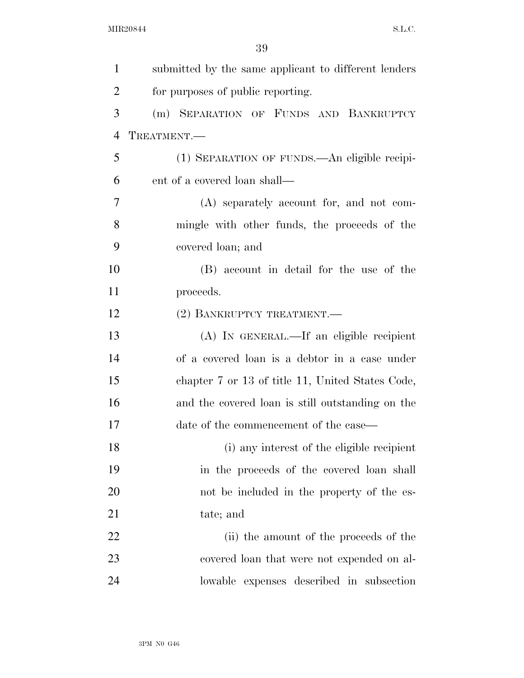| $\mathbf{1}$   | submitted by the same applicant to different lenders |
|----------------|------------------------------------------------------|
| $\overline{2}$ | for purposes of public reporting.                    |
| 3              | (m) SEPARATION OF FUNDS AND BANKRUPTCY               |
| $\overline{4}$ | TREATMENT.                                           |
| 5              | (1) SEPARATION OF FUNDS.—An eligible recipi-         |
| 6              | ent of a covered loan shall—                         |
| 7              | (A) separately account for, and not com-             |
| 8              | mingle with other funds, the proceeds of the         |
| 9              | covered loan; and                                    |
| 10             | (B) account in detail for the use of the             |
| 11             | proceeds.                                            |
| 12             | (2) BANKRUPTCY TREATMENT.                            |
| 13             | (A) IN GENERAL.—If an eligible recipient             |
| 14             | of a covered loan is a debtor in a case under        |
| 15             | chapter 7 or 13 of title 11, United States Code,     |
| 16             | and the covered loan is still outstanding on the     |
| 17             | date of the commencement of the case—                |
| 18             | (i) any interest of the eligible recipient           |
| 19             | in the proceeds of the covered loan shall            |
| 20             | not be included in the property of the es-           |
| 21             | tate; and                                            |
| 22             | (ii) the amount of the proceeds of the               |
| 23             | covered loan that were not expended on al-           |
| 24             | lowable expenses described in subsection             |